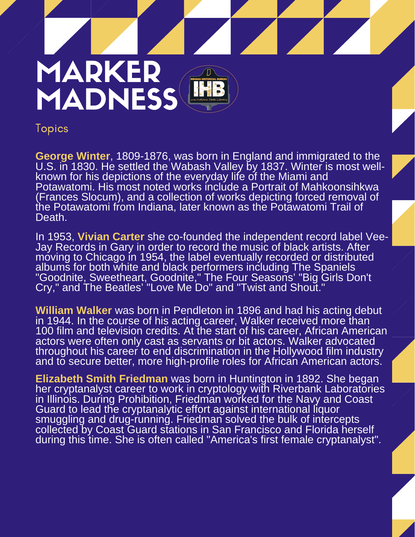

Topics

George Winter, 1809-1876, was born in England and immigrated to the<br>U.S. in 1830. He settled the Wabash Valley by 1837. Winter is most wellknown for his depictions of the everyday life of the Miami and<br>Potawatomi. His most noted works include a Portrait of Mahkoonsihk<br>(Frances Slocum), and a collection of works depicting forced remova<br>the Potawatomi from Indi **George Winter**, 1809-1876, was born in England and immigrated to the known for his depictions of the everyday life of the Miami and Potawatomi. His most noted works include a Portrait of Mahkoonsihkwa (Frances Slocum), and a collection of works depicting forced removal of Death.

Death.<br>In 1953, **Vivian Carter** she co-founded the independent record label V<br>Jay Records in Gary in order to record the music of black artists. After moving to Criicago in 1954, the laber eventually recorded or distributed<br>albums for both white and black performers including The Spaniels<br>"Goodnite, Sweetheart, Goodnite," The Four Seasons' "Big Girls Do<br>Cry," and The Bea In 1953, **Vivian Carter** she co-founded the independent record label Veemoving to Chicago in 1954, the label eventually recorded or distributed "Goodnite, Sweetheart, Goodnite," The Four Seasons' "Big Girls Don't Cry," and The Beatles' "Love Me Do" and "Twist and Shout."

Williar<br>in 1944<br>100 filr and to secure better, more high-profile roles for African American actors. **William Walker** was born in Pendleton in 1896 and had his acting debut in 1944. In the course of his acting career, Walker received more than 100 film and television credits. At the start of his career, African American actors were often only cast as servants or bit actors. Walker advocated throughout his career to end discrimination in the Hollywood film industry

her cryptanalyst career to work in cryptology with Riverbank Laboratories during this time. She is often called "America's first female cryptanalyst". **Elizabeth Smith Friedman** was born in Huntington in 1892. She began in Illinois. During Prohibition, Friedman worked for the Navy and Coast Guard to lead the cryptanalytic effort against international liquor smuggling and drug-running. Friedman solved the bulk of intercepts collected by Coast Guard stations in San Francisco and Florida herself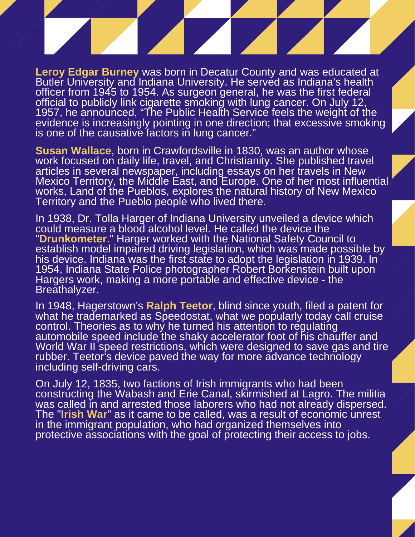**Leroy Edgar Burney** was born in Decatur County and was educated at Butler University and Indiana University. He served as Indiana's health officer from 1945 to 1954. As surgeon general, he was the first federal official to publicly link cigarette smoking with lung cancer. On July 12, 1957, he announced, "The Public Health Service feels the weight of the evidence is increasingly pointing in one direction; that excessive smoking is one of the causative factors in lung cancer."

Is one of the causative factors in lung cancer."<br>
Susan Wallace, born in Crawfordsville in 1830, was an author whose<br>
work focused on daily life, travel, and Christianity. She published travel<br>
articles in several newspape Mexico Territory, the Middle East, and Eur<br>works, Land of the Pueblos, explores the r<br>Territory and the Pueblo people who lived **Susan Wallace**, born in Crawfordsville in 1830, was an author whose articles in several newspaper, including essays on her travels in New Mexico Territory, the Middle East, and Europe. One of her most influential works, Land of the Pueblos, explores the natural history of New Mexico Territory and the Pueblo people who lived there.

In 1938, Dr. Tolla Harger of Indiana Unive<br>could measure a blood alcohol level. He<br>"Drunkometer." Harger worked with the<br>establish model impaired driving legislatic his device. Indiana was the first state to adopt the legis<br>1954, Indiana State Police photographer Robert Borke<br>Hargers work, making a more portable and effective de<br>Breathalyzer. In 1938, Dr. Tolla Harger of Indiana University unveiled a device which could measure a blood alcohol level. He called the device the "**Drunkometer**." Harger worked with the National Safety Council to establish model impaired driving legislation, which was made possible by his device. Indiana was the first state to adopt the legislation in 1939. In 1954, Indiana State Police photographer Robert Borkenstein built upon Hargers work, making a more portable and effective device - the Breathalyzer.

In 1948<br>what h<br>control<br>automo including self-driving cars. 'rubber. Teetor's device paved the way for more advance technology In 1948, Hagerstown's **Ralph Teetor**, blind since youth, filed a patent for what he trademarked as Speedostat, what we popularly today call cruise control. Theories as to why he turned his attention to regulating automobile speed include the shaky accelerator foot of his chauffer and World War II speed restrictions, which were designed to save gas and tire

On July 12, 1835, two factions of Irish immigrants who had been<br>constructing the Wabash and Erie Canal, skirmished at Lagro. The militia 17- 28 JANUARY 2020 | 28 JANUARY 2020 | 28 JANUARY 2020 | 28 JANUARY 2020 | 28 JANUARY 2020 | 28 JANUARY 2020<br>18 JANUARY 2020 | 28 JANUARY 2020 | 28 JANUARY 2020 | 28 JANUARY 2020 | 28 JANUARY 2020 | 28 JANUARY 2020 | 29 On July 12, 1835, two factions of Irish immigrants who had been was called in and arrested those laborers who had not already dispersed. The "**Irish War**" as it came to be called, was a result of economic unrest in the immigrant population, who had organized themselves into protective associations with the goal of protecting their access to jobs.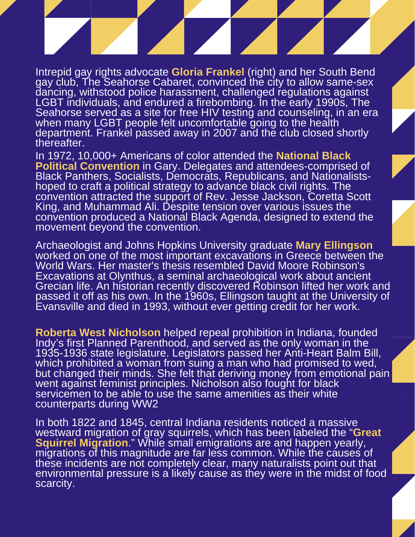Intrepid gay rights advocate **Gloria Frankel** (right) and her South Bend gay club, The Seahorse Cabaret, convinced the city to allow same-sex dancing, withstood police harassment, challenged regulations against LGBT individuals, and endured a firebombing. In the early 1990s, The Seahorse served as a site for free HIV testing and counseling, in an era when many LGBT people felt uncomfortable going to the health department. Frankel passed away in 2007 and the club closed shortly thereafter.

department. Frankel passed away in 2007 and the club closed shortly<br>thereafter.<br>In 1972, 10,000+ Americans of color attended the **National Black**<br>**Political Convention** in Gary. Delegates and attendees-comprised of Black Panthers, Socialists, Democrats, Re<br>hoped to craft a political strategy to advant<br>convention attracted the support of Rev. J<br>King, and Muhammad Ali. Despite tension convention produced a National Black Agenda, designed to extend the<br>movement beyond the convention.<br>Archaeologist and Johns Hopkins University graduate **Mary Ellingson**<br>worked ap and of the most important excavations in Gr In 1972, 10,000+ Americans of color attended the **National Black** Black Panthers, Socialists, Democrats, Republicans, and Nationalistshoped to craft a political strategy to advance black civil rights. The convention attracted the support of Rev. Jesse Jackson, Coretta Scott King, and Muhammad Ali. Despite tension over various issues the convention produced a National Black Agenda, designed to extend the movement beyond the convention.

World Wars. Her master's thesis resembled David Moder<br>Excavations at Olynthus, a seminal archaeological world Crecian life. An historian recently discovered Robinsor<br>passed it off as his own. In the 1960s. Ellingson taught Evansville and died in 1993, without ever getting credit for her work.<br> **Roberta West Nicholson** helped repeal prohibition in Indiana, founded worked on one of the most important excavations in Greece between the World Wars. Her master's thesis resembled David Moore Robinson's Excavations at Olynthus, a seminal archaeological work about ancient Grecian life. An historian recently discovered Robinson lifted her work and passed it off as his own. In the 1960s, Ellingson taught at the University of Evansville and died in 1993, without ever getting credit for her work.

which prohibited a woman from suing a man who had promised to wed,<br>but changed their minds. She felt that deriving money from emotional pain 'which prohibited a woman from suing a man who had promised to wed, went against reminist principles. Nicholson also fought for black<br>servicemen to be able to use the same amenities as their white Indy's first Planned Parenthood, and served as the only woman in the 1935-1936 state legislature. Legislators passed her Anti-Heart Balm Bill, went against feminist principles. Nicholson also fought for black counterparts during WW2

**Squirrel Migration**." While small emigrations are and happen yearly, migrations of this magnitude are far less common. While the causes of these incidents are not completely clear, many naturalists point out that<br>environmental pressure is a likely cause as they were in the midst of for scarcity. In both 1822 and 1845, central Indiana residents noticed a massive westward migration of gray squirrels, which has been labeled the "**Great** migrations of this magnitude are far less common. While the causes of environmental pressure is a likely cause as they were in the midst of food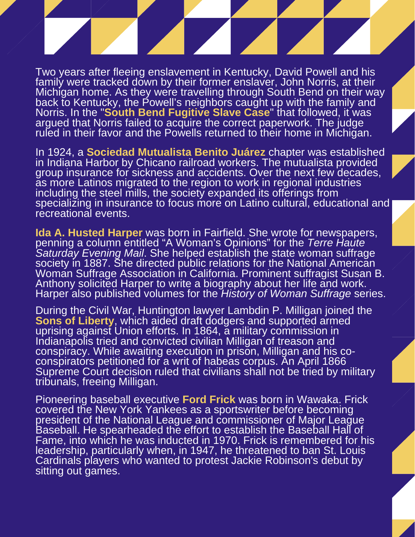Two years after fleeing enslavement in Kentucky, David Powell and his family were tracked down by their former enslaver, John Norris, at their Michigan home. As they were travelling through South Bend on their way back to Kentucky, the Powell's neighbors caught up with the family and Norris. In the "**South Bend Fugitive Slave Case**" that followed, it was argued that Norris failed to acquire the correct paperwork. The judge ruled in their favor and the Powells returned to their home in Michigan.

ruled in their favor and the Powells returned to their nome in Michigan.<br>In 1924, a **Sociedad Mutualista Benito Juárez** chapter was established<br>in Indiana Harbor by Chicano railroad workers. The mutualista provided<br>aroun i group insurance for sickness and accidents. Over the next lew decades,<br>as more Latinos migrated to the region to work in regional industries<br>including the steel mills, the society expanded its offerings from<br>specializing i In 1924, a **Sociedad Mutualista Benito Juárez** chapter was established group insurance for sickness and accidents. Over the next few decades, as more Latinos migrated to the region to work in regional industries including the steel mills, the society expanded its offerings from recreational events.

**Ida A. Husted Harper** was born in Fairfie<br>**Ida A. Husted Harper** was born in Fairfie<br>penning a column entitled "A Woman's O society in 1887. She directed public relations for the National American<br>Woman Suffrage Association in California. Prominent suffragist Susan I<br>Anthony solicited Harper to write a biography about her life and work.<br>Harper **Ida A. Husted Harper** was born in Fairfield. She wrote for newspapers, penning a column entitled "A Woman's Opinions" for the *Terre Haute Saturday Evening Mail*. She helped establish the state woman suffrage Woman Suffrage Association in California. Prominent suffragist Susan B. Anthony solicited Harper to write a biography about her life and work. Harper also published volumes for the *History of Woman Suffrage* series.

During<br>Sons of<br>uprisin conspirators petitioned for a wift of nabeas corpus. An Aphil 1866<br>Supreme Court decision ruled that civilians shall not be tried by military 'conspirators petitioned for a writ of habeas corpus. An April 1866 tribunals, freeing Milligan. During the Civil War, Huntington lawyer Lambdin P. Milligan joined the **Sons of Liberty**, which aided draft dodgers and supported armed uprising against Union efforts. In 1864, a military commission in Indianapolis tried and convicted civilian Milligan of treason and conspiracy. While awaiting execution in prison, Milligan and his co-

Hame, into which he was inducted in 1970. Frick is remembered for h<br>leadership, particularly when, in 1947, he threatened to ban St. Louis Cardinais players who war<br>sitting out games. Pioneering baseball executive **Ford Frick** was born in Wawaka. Frick covered the New York Yankees as a sportswriter before becoming president of the National League and commissioner of Major League Baseball. He spearheaded the effort to establish the Baseball Hall of Fame, into which he was inducted in 1970. Frick is remembered for his Cardinals players who wanted to protest Jackie Robinson's debut by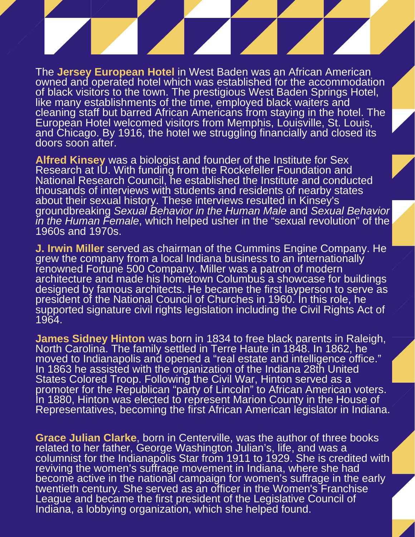and Chicago. By 1916, the notel we s<br>doors soon after.<br>**Alfred Kinsey** was a biologist and for<br>Research at ILL With funding from the The **Jersey European Hotel** in West Baden was an African American owned and operated hotel which was established for the accommodation of black visitors to the town. The prestigious West Baden Springs Hotel, like many establishments of the time, employed black waiters and cleaning staff but barred African Americans from staying in the hotel. The European Hotel welcomed visitors from Memphis, Louisville, St. Louis, and Chicago. By 1916, the hotel we struggling financially and closed its doors soon after.

National Research Council, he established<br>thousands of interviews with students and<br>about their sexual history. These interview<br>groundbreaking Sexual Behavior in the Hu *in the Human Female*, which helped usher in the "sexual revolution" of the<br>1960s and 1970s.<br>**J. Irwin Miller** served as chairman of the Cummins Engine Company. He **Alfred Kinsey** was a biologist and founder of the Institute for Sex Research at IU. With funding from the Rockefeller Foundation and National Research Council, he established the Institute and conducted thousands of interviews with students and residents of nearby states about their sexual history. These interviews resulted in Kinsey's groundbreaking *Sexual Behavior in the Human Male* and *Sexual Behavior in the Human Female*, which helped usher in the "sexual revolution" of the 1960s and 1970s.

grew the company from a local indiana business to an internationally<br>renowned Fortune 500 Company. Miller was a patron of modern<br>architecture and made his hometown Columbus a showcase for buildings<br>designed by famous archi preside<br>suppor<br>1964.<br>**Lames** grew the company from a local Indiana business to an internationally renowned Fortune 500 Company. Miller was a patron of modern architecture and made his hometown Columbus a showcase for buildings president of the National Council of Churches in 1960. In this role, he supported signature civil rights legislation including the Civil Rights Act of 1964.

In 1863 he assisted with the organization of the Indiana 28th United 'moved to Indianapolis and opened a "real estate and intelligence office." promoter for the Republican "party of Lincoln" to African American voters. **James Sidney Hinton** was born in 1834 to free black parents in Raleigh, North Carolina. The family settled in Terre Haute in 1848. In 1862, he States Colored Troop. Following the Civil War, Hinton served as a In 1880, Hinton was elected to represent Marion County in the House of Representatives, becoming the first African American legislator in Indiana.

Indiana, a lobbying organization, which she helped found. orace Julian Clarke, born in Centerville, was the durior of three related to her father, George Washington Julian's, life, and was a columnst for the multiple star from 1911 to 1929. She is credite<br>reviving the women's suffrage movement in Indiana, where she had become active in the national campaign for women's sumage in the earth.<br>twentieth century. She served as an officer in the Women's Franchise **Grace Julian Clarke**, born in Centerville, was the author of three books columnist for the Indianapolis Star from 1911 to 1929. She is credited with become active in the national campaign for women's suffrage in the early League and became the first president of the Legislative Council of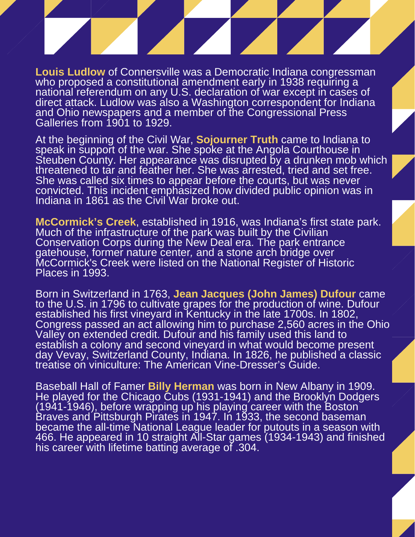**Louis Ludlow** of Connersville was a Democratic Indiana congressman who proposed a constitutional amendment early in 1938 requiring a national referendum on any U.S. declaration of war except in cases of direct attack. Ludlow was also a Washington correspondent for Indiana and Ohio newspapers and a member of the Congressional Press Galleries from 1901 to 1929.

At the beginning of the Civil War, **Sojourner Truth** came to Indiana to speak in support of the war. She spoke at the Angola Courthouse in Steuben County. Her appearance was disrupted by a drunken mob when threatened to ta She was called six times to appear before the courts, but was never convicted. This incident emphasized how divided public opinion was Indiana in 1861 as the Civil War broke out. speak in support of the war. She spoke at the Angola Courthouse in Steuben County. Her appearance was disrupted by a drunken mob which threatened to tar and feather her. She was arrested, tried and set free. convicted. This incident emphasized how divided public opinion was in Indiana in 1861 as the Civil War broke out.

**McCormick's Creek**, established in 1916, was Indiana's first state park.<br>Much of the infrastructure of the park was built by the Civilian<br>Conservation Corps during the New Deal era. The park entrance<br>gatebouse, former nat McCormick's Creek were listed on the National Register of Historic<br>Places in 1993.<br>Born in Switzerland in 1763. **Jean Jacques (John James) Dufour** Much of the infrastructure of the park was built by the Civilian Conservation Corps during the New Deal era. The park entrance gatehouse, former nature center*,* and a stone arch bridge over Places in 1993.

to the U.S. in 1796 to cultivate grapes for the production of wine. Dufour<br>established his first vineyard in Kentucky in the late 1700s. In 1802,<br>Congress passed an act allowing him to purchase 2,560 acres in the Oh<br>Valley treatise on viniculture: The American Vine-Dresser's Guide. Born in Switzerland in 1763, **Jean Jacques (John James) Dufour** came established his first vineyard in Kentucky in the late 1700s. In 1802, Congress passed an act allowing him to purchase 2,560 acres in the Ohio Valley on extended credit. Dufour and his family used this land to establish a colony and second vineyard in what would become present day Vevay, Switzerland County, Indiana. In 1826, he published a classic

Baseball Hall of Famer **Billy Herman** was born in New Albany in 1909.<br>He played for the Chicago Cubs (1931-1941) and the Brooklyn Dodgers Hoo. The appeared in 10 straight Air Star games He played for the Chicago Cubs (1931-1941) and the Brooklyn Dodgers (1941-1946), before wrapping up his playing career with the Boston Braves and Pittsburgh Pirates in 1947. In 1933, the second baseman became the all-time National League leader for putouts in a season with 466. He appeared in 10 straight All-Star games (1934-1943) and finished